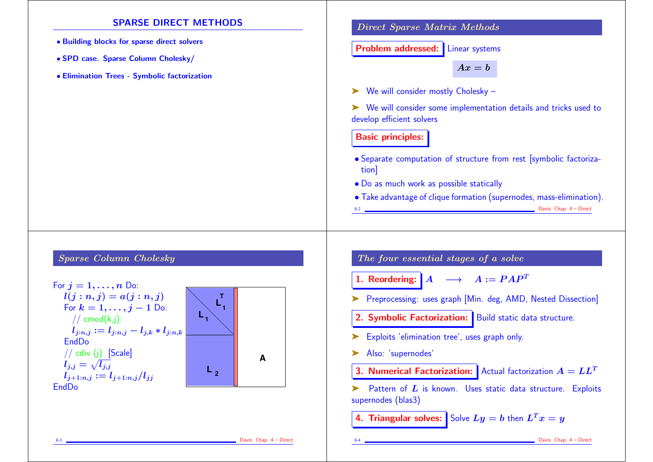### SPARSE DIRECT METHODS

- Building blocks for sparse direct solvers
- SPD case. Sparse Column Cholesky/
- Elimination Trees Symbolic factorization

#### Direct Sparse Matrix Methods

Problem addressed: Linear systems

 $Ax = b$ 

➤ We will consider mostly Cholesky –

➤ We will consider some implementation details and tricks used to develop efficient solvers

### Basic principles:

- Separate computation of structure from rest [symbolic factorization]
- Do as much work as possible statically
- Take advantage of clique formation (supernodes, mass-elimination).

```
8-2 Davis: Chap. 4 – Direct
```
# Sparse Column Cholesky



The four essential stages of a solve

1. Reordering:  $\begin{bmatrix} A & \longrightarrow & A := PAP^T \end{bmatrix}$ 

➤ Preprocessing: uses graph [Min. deg, AMD, Nested Dissection]

- 2. Symbolic Factorization: Build static data structure.
- ► Exploits 'elimination tree', uses graph only.
- ➤ Also: 'supernodes'
- **3. Numerical Factorization:** Actual factorization  $A = LL^T$

 $\blacktriangleright$  Pattern of  $L$  is known. Uses static data structure. Exploits supernodes (blas3)

4. Triangular solves: Solve  $Ly = b$  then  $L^T x = y$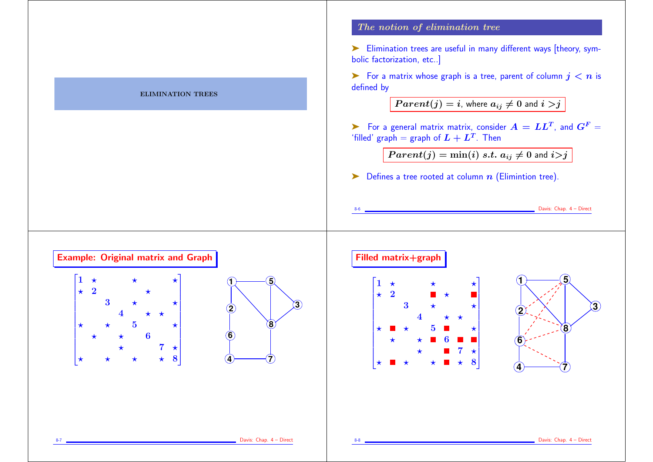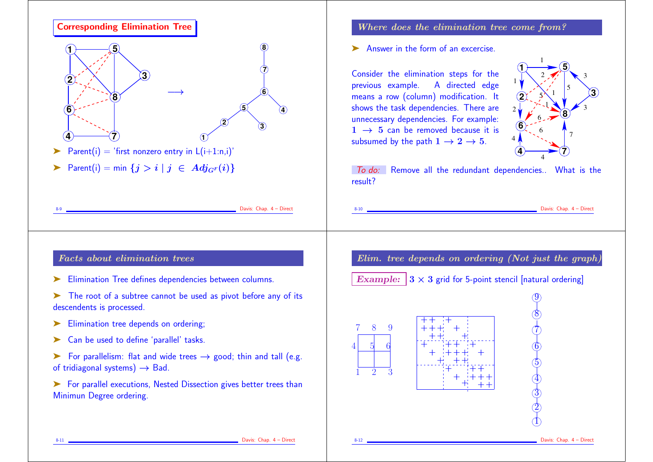

- 
- ▶ Can be used to define 'parallel' tasks.
- For parallelism: flat and wide trees  $\rightarrow$  good; thin and tall (e.g. of tridiagonal systems)  $\rightarrow$  Bad.

► For parallel executions, Nested Dissection gives better trees than Minimun Degree ordering.

# Where does the elimination tree come from?

➤ Answer in the form of an excercise.

Consider the elimination steps for the previous example. A directed edge means a row (column) modification. It shows the task dependencies. There are unnecessary dependencies. For example:  $1 \rightarrow 5$  can be removed because it is subsumed by the path  $1 \rightarrow 2 \rightarrow 5$ .



**Example 20** Davis: Chap. 4 – Direct

✖✕  $\rightarrow$ 

✖✕  $\Delta$ 

✖✕  $\bigcap$ 

 $9)$ 

8

 $\mathcal{D}$ 

 $6)$ 

5

 $\Phi$ 3  $\mathfrak{D}$  $\mathbb{D}$ 

✖✕  $\rightarrow$ 

✖✕  $\rightarrow$ 

✖✕  $\lambda$ 

✖✕  $\Delta$ 

✖✕  $\triangle$ 

✖✕ ✗✔

To do: Remove all the redundant dependencies.. What is the result?

Elim. tree depends on ordering (Not just the graph)

Example:  $3 \times 3$  grid for 5-point stencil [natural ordering]

7 8 9 5 64

31 2

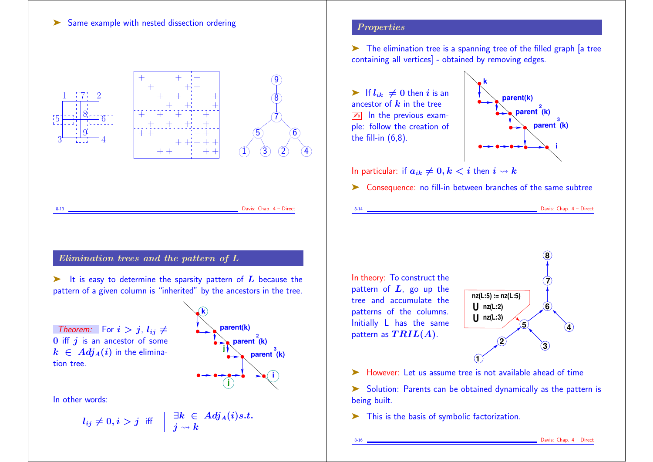

Davis: Chap. 4 - Direct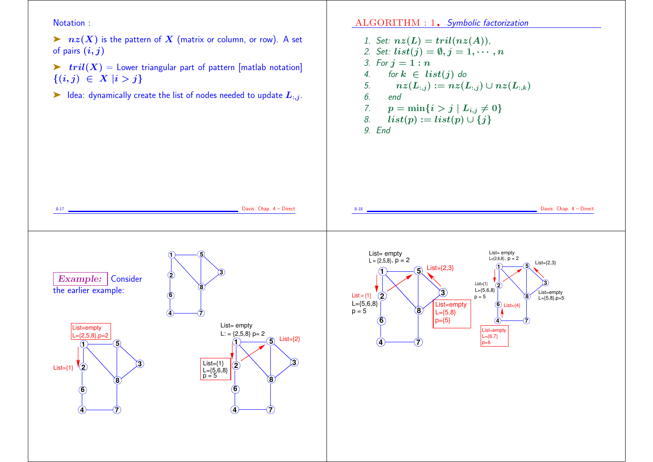Notation :

Example: Consider

the earlier example:

**1**

List=empty  $L=\{2.5,8\}$ , p=2

**6**

**4** <del>(</del>)

**8**

**3**

**5**

**2** List={1}

 $\triangleright$   $nz(X)$  is the pattern of X (matrix or column, or row). A set of pairs  $(i, j)$ 

 $\triangleright$   $tril(X) =$  Lower triangular part of pattern [matlab notation]  ${(i, j) \in X | i > j}$ 

 $\blacktriangleright$  Idea: dynamically create the list of nodes needed to update  $L_{:,j}$ .

**1**

**6**

**4** <del>(</del>)

**8**

 $\vert$  List={1} L={5,6,8}<br>p = 5

**3**

**5**

**2**

ALGORITHM : 1. Symbolic factorization